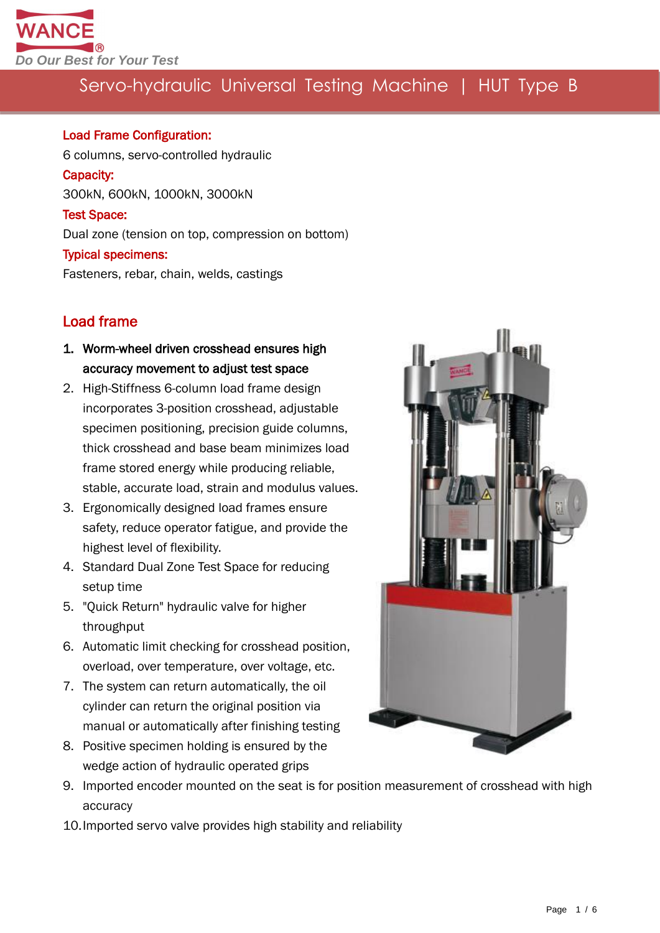

#### Load Frame Configuration:

6 columns, servo-controlled hydraulic Capacity: 300kN, 600kN, 1000kN, 3000kN Test Space: Dual zone (tension on top, compression on bottom) Typical specimens: Fasteners, rebar, chain, welds, castings

### Load frame

- 1. Worm-wheel driven crosshead ensures high accuracy movement to adjust test space
- 2. High-Stiffness 6-column load frame design incorporates 3-position crosshead, adjustable specimen positioning, precision guide columns, thick crosshead and base beam minimizes load frame stored energy while producing reliable, stable, accurate load, strain and modulus values.
- 3. Ergonomically designed load frames ensure safety, reduce operator fatigue, and provide the highest level of flexibility.
- 4. Standard Dual Zone Test Space for reducing setup time
- 5. "Quick Return" hydraulic valve for higher throughput
- 6. Automatic limit checking for crosshead position, overload, over temperature, over voltage, etc.
- 7. The system can return automatically, the oil cylinder can return the original position via manual or automatically after finishing testing
- 8. Positive specimen holding is ensured by the wedge action of hydraulic operated grips
- 9. Imported encoder mounted on the seat is for position measurement of crosshead with high accuracy
- 10.Imported servo valve provides high stability and reliability

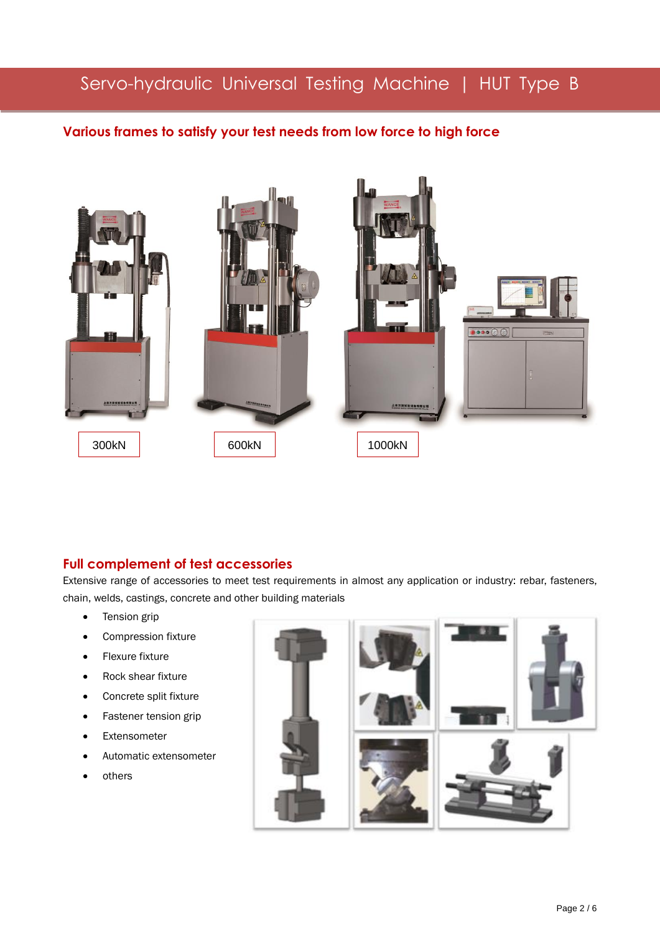#### **Various frames to satisfy your test needs from low force to high force**



#### **Full complement of test accessories**

Extensive range of accessories to meet test requirements in almost any application or industry: rebar, fasteners, chain, welds, castings, concrete and other building materials

• Tension grip

j

- Compression fixture
- **•** Flexure fixture
- Rock shear fixture
- Concrete split fixture
- Fastener tension grip
- Extensometer
- Automatic extensometer
- others

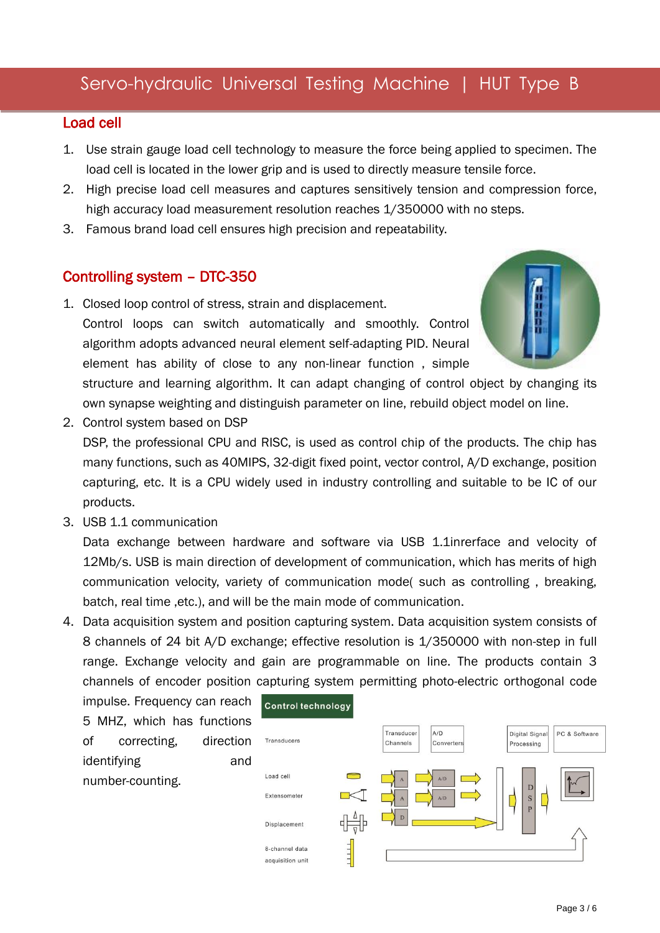#### Load cell

- 1. Use strain gauge load cell technology to measure the force being applied to specimen. The load cell is located in the lower grip and is used to directly measure tensile force.
- 2. High precise load cell measures and captures sensitively tension and compression force, high accuracy load measurement resolution reaches 1/350000 with no steps.
- 3. Famous brand load cell ensures high precision and repeatability.

#### Controlling system – DTC-350

- 1. Closed loop control of stress, strain and displacement. Control loops can switch automatically and smoothly. Control algorithm adopts advanced neural element self-adapting PID. Neural element has ability of close to any non-linear function , simple structure and learning algorithm. It can adapt changing of control object by changing its own synapse weighting and distinguish parameter on line, rebuild object model on line.
- 2. Control system based on DSP DSP, the professional CPU and RISC, is used as control chip of the products. The chip has many functions, such as 40MIPS, 32-digit fixed point, vector control, A/D exchange, position capturing, etc. It is a CPU widely used in industry controlling and suitable to be IC of our
- 3. USB 1.1 communication

products.

Data exchange between hardware and software via USB 1.1inrerface and velocity of 12Mb/s. USB is main direction of development of communication, which has merits of high communication velocity, variety of communication mode( such as controlling , breaking, batch, real time ,etc.), and will be the main mode of communication.

4. Data acquisition system and position capturing system. Data acquisition system consists of 8 channels of 24 bit A/D exchange; effective resolution is 1/350000 with non-step in full range. Exchange velocity and gain are programmable on line. The products contain 3 channels of encoder position capturing system permitting photo-electric orthogonal code

impulse. Frequency can reach 5 MHZ, which has functions of correcting, direction identifying and number-counting.

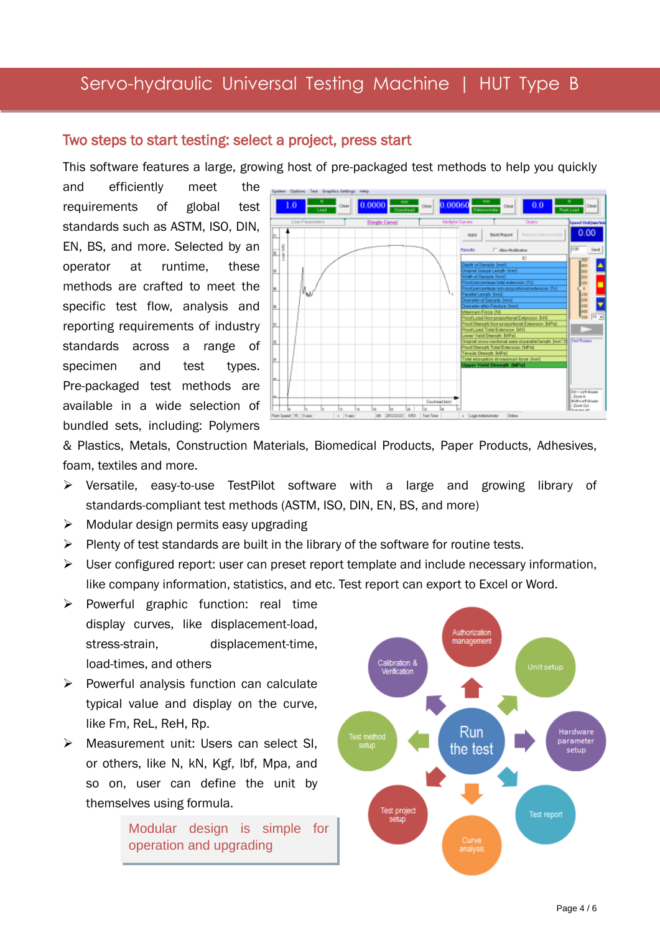#### Two steps to start testing: select a project, press start

This software features a large, growing host of pre-packaged test methods to help you quickly

and efficiently meet the requirements of global test standards such as ASTM, ISO, DIN, EN, BS, and more. Selected by an operator at runtime, these methods are crafted to meet the specific test flow, analysis and reporting requirements of industry standards across a range of specimen and test types. Pre-packaged test methods are available in a wide selection of bundled sets, including: Polymers



& Plastics, Metals, Construction Materials, Biomedical Products, Paper Products, Adhesives, foam, textiles and more.

- Versatile, easy-to-use TestPilot software with a large and growing library of standards-compliant test methods (ASTM, ISO, DIN, EN, BS, and more)
- $\triangleright$  Modular design permits easy upgrading
- $\triangleright$  Plenty of test standards are built in the library of the software for routine tests.
- $\triangleright$  User configured report: user can preset report template and include necessary information, like company information, statistics, and etc. Test report can export to Excel or Word.
- $\triangleright$  Powerful graphic function: real time display curves, like displacement-load, stress-strain, displacement-time, load-times, and others
- $\triangleright$  Powerful analysis function can calculate typical value and display on the curve, like Fm, ReL, ReH, Rp.
- Measurement unit: Users can select SI, or others, like N, kN, Kgf, lbf, Mpa, and so on, user can define the unit by themselves using formula.

Modular design is simple for operation and upgrading

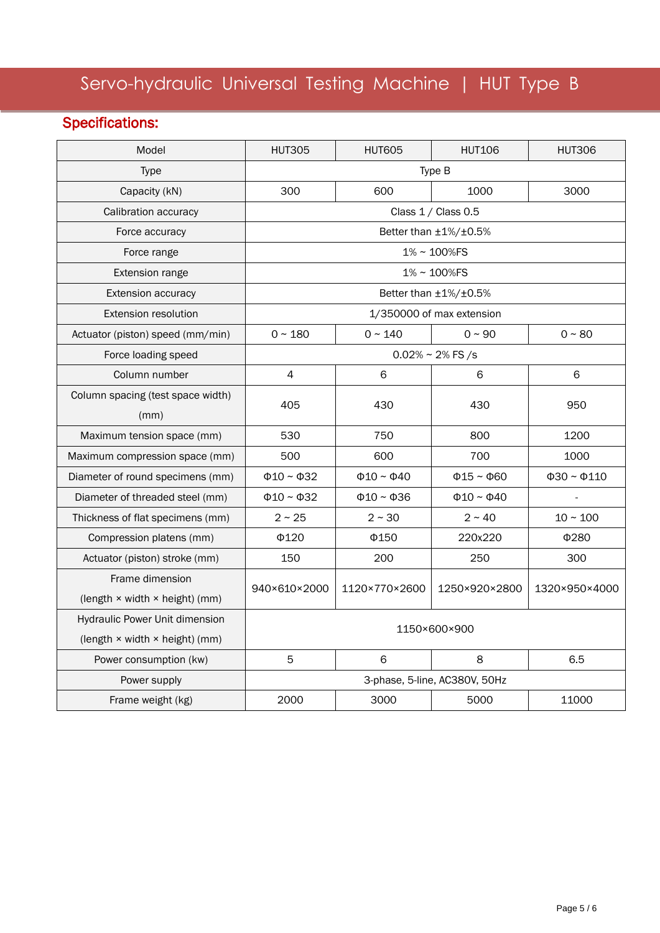## Specifications:

| Model                             | <b>HUT305</b>                 | <b>HUT605</b>         | <b>HUT106</b>         | <b>HUT306</b>          |
|-----------------------------------|-------------------------------|-----------------------|-----------------------|------------------------|
| <b>Type</b>                       | Type B                        |                       |                       |                        |
| Capacity (kN)                     | 300                           | 600                   | 1000                  | 3000                   |
| Calibration accuracy              |                               | Class 1 / Class 0.5   |                       |                        |
| Force accuracy                    | Better than ±1%/±0.5%         |                       |                       |                        |
| Force range                       | 1% ~ 100%FS                   |                       |                       |                        |
| <b>Extension range</b>            | 1% ~ 100%FS                   |                       |                       |                        |
| <b>Extension accuracy</b>         | Better than ±1%/±0.5%         |                       |                       |                        |
| <b>Extension resolution</b>       | 1/350000 of max extension     |                       |                       |                        |
| Actuator (piston) speed (mm/min)  | $0 - 180$                     | $0 - 140$             | $0 - 90$              | $0 - 80$               |
| Force loading speed               | $0.02\% \sim 2\%$ FS /s       |                       |                       |                        |
| Column number                     | $\overline{4}$                | 6                     | 6                     | 6                      |
| Column spacing (test space width) |                               | 430                   | 430                   | 950                    |
| (mm)                              | 405                           |                       |                       |                        |
| Maximum tension space (mm)        | 530                           | 750                   | 800                   | 1200                   |
| Maximum compression space (mm)    | 500                           | 600                   | 700                   | 1000                   |
| Diameter of round specimens (mm)  | $\Phi$ 10 ~ $\Phi$ 32         | $\Phi$ 10 ~ $\Phi$ 40 | $\Phi$ 15 ~ $\Phi$ 60 | $\Phi$ 30 ~ $\Phi$ 110 |
| Diameter of threaded steel (mm)   | $\Phi$ 10 ~ $\Phi$ 32         | $\Phi$ 10 ~ $\Phi$ 36 | $\Phi$ 10 ~ $\Phi$ 40 |                        |
| Thickness of flat specimens (mm)  | $2 \sim 25$                   | $2 \sim 30$           | $2 \sim 40$           | $10 \sim 100$          |
| Compression platens (mm)          | $\Phi$ 120                    | Φ150                  | 220x220               | Φ280                   |
| Actuator (piston) stroke (mm)     | 150                           | 200                   | 250                   | 300                    |
| Frame dimension                   | 940×610×2000                  | 1120×770×2600         | 1250×920×2800         | 1320×950×4000          |
| (length × width × height) (mm)    |                               |                       |                       |                        |
| Hydraulic Power Unit dimension    | 1150×600×900                  |                       |                       |                        |
| (length × width × height) (mm)    |                               |                       |                       |                        |
| Power consumption (kw)            | 5                             | 6                     | 8                     | 6.5                    |
| Power supply                      | 3-phase, 5-line, AC380V, 50Hz |                       |                       |                        |
| Frame weight (kg)                 | 2000                          | 3000                  | 5000                  | 11000                  |